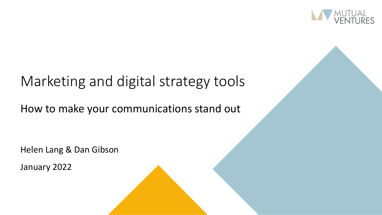

## Marketing and digital strategy tools

#### How to make your communications stand out

Helen Lang & Dan Gibson

January 2022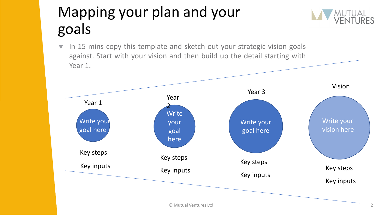# Mapping your plan and your goals

 $\blacktriangledown$  In 15 mins copy this template and sketch out your strategic vision goals against. Start with your vision and then build up the detail starting with Year 1.

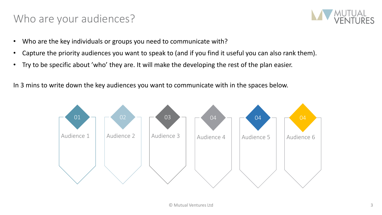#### Who are your audiences?



- Who are the key individuals or groups you need to communicate with?
- Capture the priority audiences you want to speak to (and if you find it useful you can also rank them).
- Try to be specific about 'who' they are. It will make the developing the rest of the plan easier.

In 3 mins to write down the key audiences you want to communicate with in the spaces below.

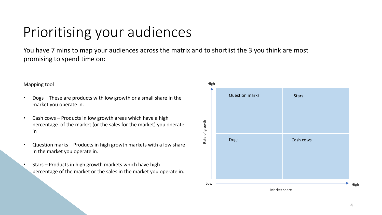## Prioritising your audiences

You have 7 mins to map your audiences across the matrix and to shortlist the 3 you think are most promising to spend time on:

#### Mapping tool

- Dogs These are products with low growth or a small share in the market you operate in.
- Cash cows Products in low growth areas which have a high percentage of the market (or the sales for the market) you operate in
- Question marks Products in high growth markets with a low share in the market you operate in.
- Stars Products in high growth markets which have high percentage of the market or the sales in the market you operate in.

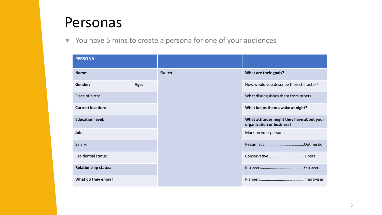### Personas

 $\blacktriangledown$  You have 5 mins to create a persona for one of your audiences

| <b>PERSONA</b>              |      |        |                                                                        |
|-----------------------------|------|--------|------------------------------------------------------------------------|
| Name:                       |      | Sketch | What are their goals?                                                  |
| Gender:                     | Age: |        | How would you describe their character?                                |
| Place of birth:             |      |        | What distinguishes them from others                                    |
| <b>Current location:</b>    |      |        | What keeps them awake at night?                                        |
| <b>Education level:</b>     |      |        | What attitudes might they have about your<br>organization or business? |
| Job:                        |      |        | Mark on your persona                                                   |
| Salary:                     |      |        |                                                                        |
| <b>Residential status:</b>  |      |        |                                                                        |
| <b>Relationship status:</b> |      |        | .Extrovert                                                             |
| What do they enjoy?         |      |        |                                                                        |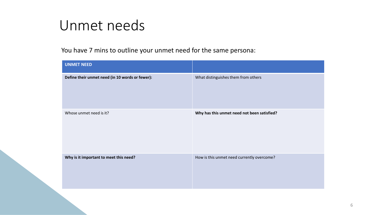### Unmet needs

You have 7 mins to outline your unmet need for the same persona:

| <b>UNMET NEED</b>                               |                                             |
|-------------------------------------------------|---------------------------------------------|
| Define their unmet need (in 10 words or fewer): | What distinguishes them from others         |
| Whose unmet need is it?                         | Why has this unmet need not been satisfied? |
| Why is it important to meet this need?          | How is this unmet need currently overcome?  |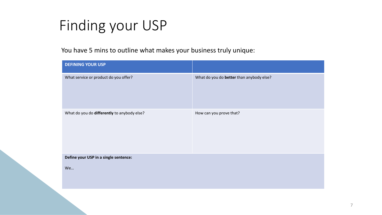## Finding your USP

You have 5 mins to outline what makes your business truly unique:

| <b>DEFINING YOUR USP</b>                    |                                          |
|---------------------------------------------|------------------------------------------|
| What service or product do you offer?       | What do you do better than anybody else? |
| What do you do differently to anybody else? | How can you prove that?                  |
| Define your USP in a single sentence:       |                                          |
| We                                          |                                          |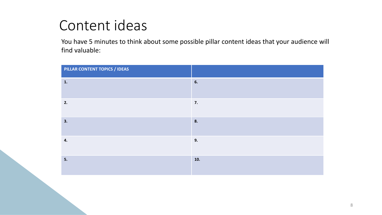## Content ideas

You have 5 minutes to think about some possible pillar content ideas that your audience will find valuable:

| PILLAR CONTENT TOPICS / IDEAS |     |
|-------------------------------|-----|
| 1.                            | 6.  |
| 2.                            | 7.  |
| 3.                            | 8.  |
| 4.                            | 9.  |
| 5.                            | 10. |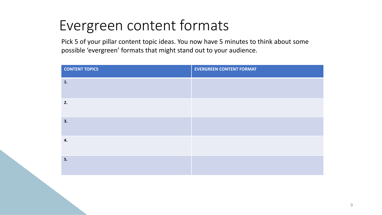## Evergreen content formats

Pick 5 of your pillar content topic ideas. You now have 5 minutes to think about some possible 'evergreen' formats that might stand out to your audience.

| <b>CONTENT TOPICS</b> | <b>EVERGREEN CONTENT FORMAT</b> |
|-----------------------|---------------------------------|
| 1.                    |                                 |
| 2.                    |                                 |
| 3.                    |                                 |
| 4.                    |                                 |
| 5.                    |                                 |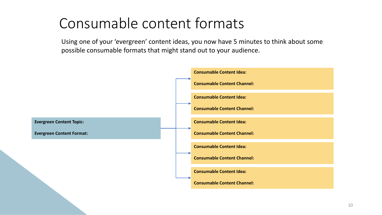## Consumable content formats

Using one of your 'evergreen' content ideas, you now have 5 minutes to think about some possible consumable formats that might stand out to your audience.

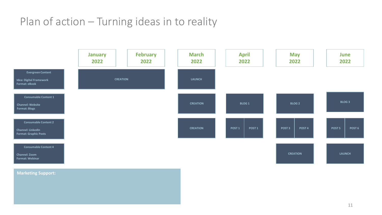### Plan of action – Turning ideas in to reality



#### **Marketing Support:**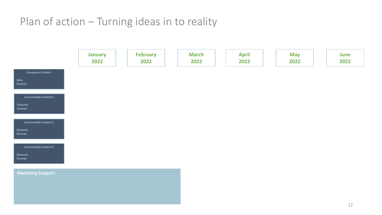### Plan of action – Turning ideas in to reality